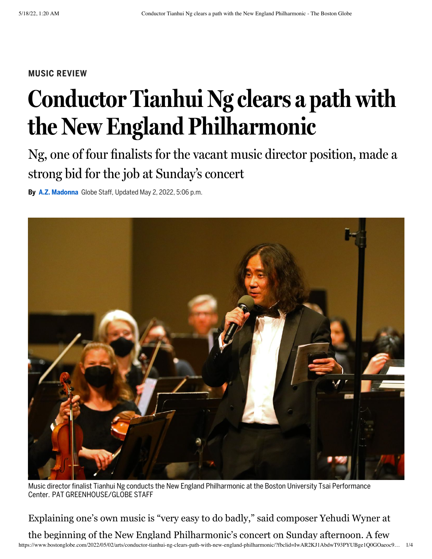## **MUSIC REVIEW**

## **Conductor Tianhui Ng clears a path with the New England Philharmonic**

Ng, one of four finalists for the vacant music director position, made a strong bid for the job at Sunday ' s concert

**By A.Z. [Madonna](https://www.bostonglobe.com/about/staff-list/staff/a-z-madonna/?p1=Article_Byline)** Globe Staff, Updated May 2, 2022, 5:06 p.m.



Music director finalist Tianhui Ng conducts the New England Philharmonic at the Boston University Tsai Performance Center. PAT GREENHOUSE/GLOBE STAFF

Explaining one's own music is "very easy to do badly," said composer Yehudi Wyner at

https://www.bostonglobe.com/2022/05/02/arts/conductor-tianhui-ng-clears-path-with-new-england-philharmonic/?fbclid=IwAR2KJ1AbdwT93PYUBge1Q0GOaeoc9… 1/4 the beginning of the New England Philharmonic's concert on Sunday afternoon. A few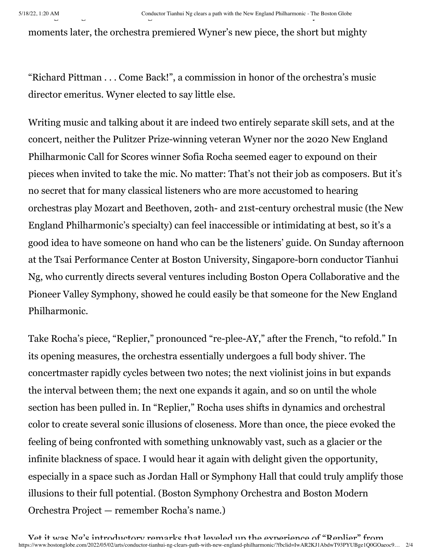moments later, the orchestra premiered Wyner's new piece, the short but mighty

"Richard Pittman . . . Come Back!", a commission in honor of the orchestra's music director emeritus. Wyner elected to say little else.

Writing music and talking about it are indeed two entirely separate skill sets, and at the concert, neither the Pulitzer Prize-winning veteran Wyner nor the 2020 New England Philharmonic Call for Scores winner Sofia Rocha seemed eager to expound on their pieces when invited to take the mic. No matter: That's not their job as composers. But it's no secret that for many classical listeners who are more accustomed to hearing orchestras play Mozart and Beethoven, 20th- and 21st-century orchestral music (the New England Philharmonic's specialty) can feel inaccessible or intimidating at best, so it's a good idea to have someone on hand who can be the listeners' guide. On Sunday afternoon at the Tsai Performance Center at Boston University, Singapore-born conductor Tianhui Ng, who currently directs several ventures including Boston Opera Collaborative and the Pioneer Valley Symphony, showed he could easily be that someone for the New England Philharmonic.

Take Rocha's piece, "Replier," pronounced "re-plee-AY," after the French, "to refold." In its opening measures, the orchestra essentially undergoes a full body shiver. The concertmaster rapidly cycles between two notes; the next violinist joins in but expands the interval between them; the next one expands it again, and so on until the whole section has been pulled in. In "Replier," Rocha uses shifts in dynamics and orchestral color to create several sonic illusions of closeness. More than once, the piece evoked the feeling of being confronted with something unknowably vast, such as a glacier or the infinite blackness of space. I would hear it again with delight given the opportunity, especially in a space such as Jordan Hall or Symphony Hall that could truly amplify those illusions to their full potential. (Boston Symphony Orchestra and Boston Modern Orchestra Project — remember Rocha's name.)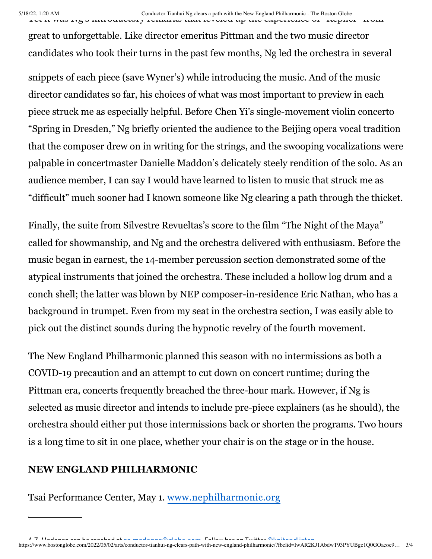great to unforgettable. Like director emeritus Pittman and the two music director candidates who took their turns in the past few months, Ng led the orchestra in several

snippets of each piece (save Wyner's) while introducing the music. And of the music director candidates so far, his choices of what was most important to preview in each piece struck me as especially helpful. Before Chen Yi's single-movement violin concerto "Spring in Dresden," Ng briefly oriented the audience to the Beijing opera vocal tradition that the composer drew on in writing for the strings, and the swooping vocalizations were palpable in concertmaster Danielle Maddon's delicately steely rendition of the solo. As an audience member, I can say I would have learned to listen to music that struck me as "difficult" much sooner had I known someone like Ng clearing a path through the thicket.

Finally, the suite from Silvestre Revueltas's score to the film "The Night of the Maya" called for showmanship, and Ng and the orchestra delivered with enthusiasm. Before the music began in earnest, the 14-member percussion section demonstrated some of the atypical instruments that joined the orchestra. These included a hollow log drum and a conch shell; the latter was blown by NEP composer-in-residence Eric Nathan, who has a background in trumpet. Even from my seat in the orchestra section, I was easily able to pick out the distinct sounds during the hypnotic revelry of the fourth movement.

The New England Philharmonic planned this season with no intermissions as both a COVID-19 precaution and an attempt to cut down on concert runtime; during the Pittman era, concerts frequently breached the three-hour mark. However, if Ng is selected as music director and intends to include pre-piece explainers (as he should), the orchestra should either put those intermissions back or shorten the programs. Two hours is a long time to sit in one place, whether your chair is on the stage or in the house.

## **NEW ENGLAND PHILHARMONIC**

Tsai Performance Center, May 1. [www.nephilharmonic.org](http://www.nephilharmonic.org/)